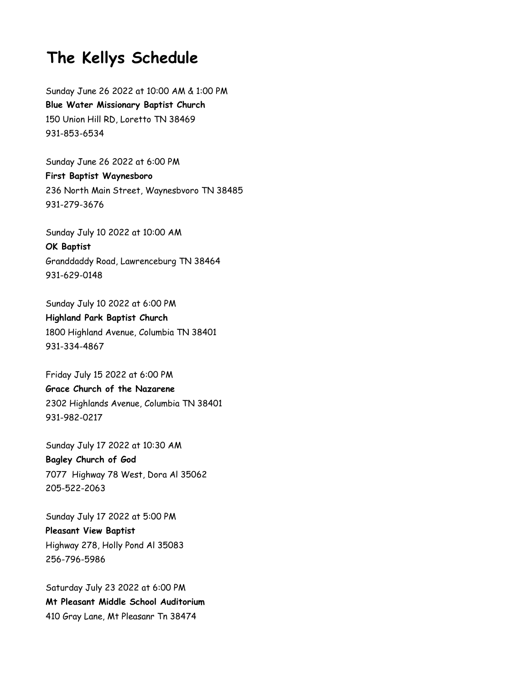## **The Kellys Schedule**

Sunday June 26 2022 at 10:00 AM & 1:00 PM **Blue Water Missionary Baptist Church** 150 Union Hill RD, Loretto TN 38469 931-853-6534

Sunday June 26 2022 at 6:00 PM **First Baptist Waynesboro** 236 North Main Street, Waynesbvoro TN 38485 931-279-3676

Sunday July 10 2022 at 10:00 AM **OK Baptist** Granddaddy Road, Lawrenceburg TN 38464 931-629-0148

Sunday July 10 2022 at 6:00 PM **Highland Park Baptist Church** 1800 Highland Avenue, Columbia TN 38401 931-334-4867

Friday July 15 2022 at 6:00 PM **Grace Church of the Nazarene** 2302 Highlands Avenue, Columbia TN 38401 931-982-0217

Sunday July 17 2022 at 10:30 AM **Bagley Church of God**  7077 Highway 78 West, Dora Al 35062 205-522-2063

Sunday July 17 2022 at 5:00 PM **Pleasant View Baptist** Highway 278, Holly Pond Al 35083 256-796-5986

Saturday July 23 2022 at 6:00 PM **Mt Pleasant Middle School Auditorium** 410 Gray Lane, Mt Pleasanr Tn 38474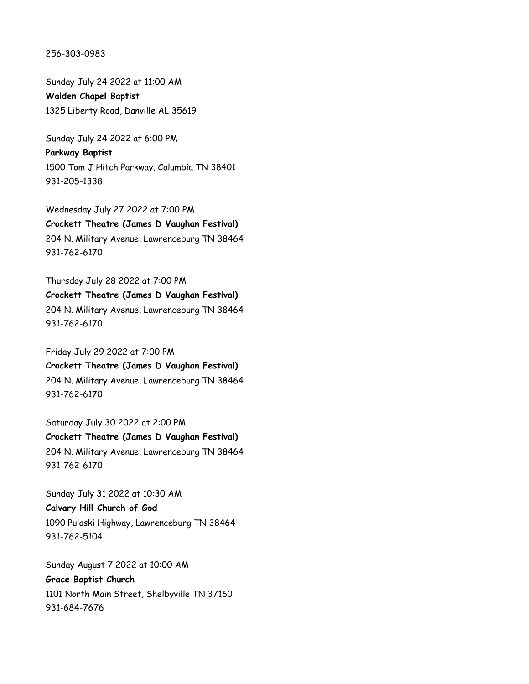256-303-0983

Sunday July 24 2022 at 11:00 AM **Walden Chapel Baptist** 1325 Liberty Road, Danville AL 35619

Sunday July 24 2022 at 6:00 PM **Parkway Baptist** 1500 Tom J Hitch Parkway. Columbia TN 38401 931-205-1338

Wednesday July 27 2022 at 7:00 PM **Crockett Theatre (James D Vaughan Festival)**  204 N. Military Avenue, Lawrenceburg TN 38464 931-762-6170

Thursday July 28 2022 at 7:00 PM **Crockett Theatre (James D Vaughan Festival)**  204 N. Military Avenue, Lawrenceburg TN 38464 931-762-6170

Friday July 29 2022 at 7:00 PM **Crockett Theatre (James D Vaughan Festival)**  204 N. Military Avenue, Lawrenceburg TN 38464 931-762-6170

Saturday July 30 2022 at 2:00 PM **Crockett Theatre (James D Vaughan Festival)**  204 N. Military Avenue, Lawrenceburg TN 38464 931-762-6170

Sunday July 31 2022 at 10:30 AM **Calvary Hill Church of God** 1090 Pulaski Highway, Lawrenceburg TN 38464 931-762-5104

Sunday August 7 2022 at 10:00 AM **Grace Baptist Church** 1101 North Main Street, Shelbyville TN 37160 931-684-7676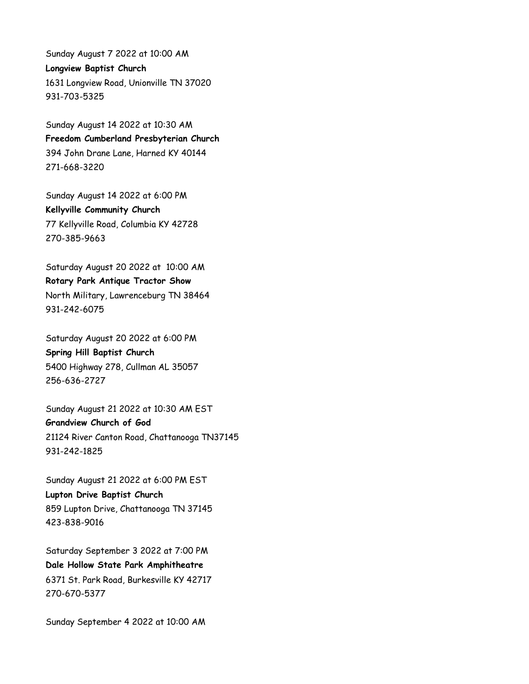Sunday August 7 2022 at 10:00 AM **Longview Baptist Church** 1631 Longview Road, Unionville TN 37020 931-703-5325

Sunday August 14 2022 at 10:30 AM **Freedom Cumberland Presbyterian Church** 394 John Drane Lane, Harned KY 40144 271-668-3220

Sunday August 14 2022 at 6:00 PM **Kellyville Community Church** 77 Kellyville Road, Columbia KY 42728 270-385-9663

Saturday August 20 2022 at 10:00 AM **Rotary Park Antique Tractor Show** North Military, Lawrenceburg TN 38464 931-242-6075

Saturday August 20 2022 at 6:00 PM **Spring Hill Baptist Church** 5400 Highway 278, Cullman AL 35057 256-636-2727

Sunday August 21 2022 at 10:30 AM EST **Grandview Church of God** 21124 River Canton Road, Chattanooga TN37145 931-242-1825

Sunday August 21 2022 at 6:00 PM EST **Lupton Drive Baptist Church** 859 Lupton Drive, Chattanooga TN 37145 423-838-9016

Saturday September 3 2022 at 7:00 PM **Dale Hollow State Park Amphitheatre** 6371 St. Park Road, Burkesville KY 42717 270-670-5377

Sunday September 4 2022 at 10:00 AM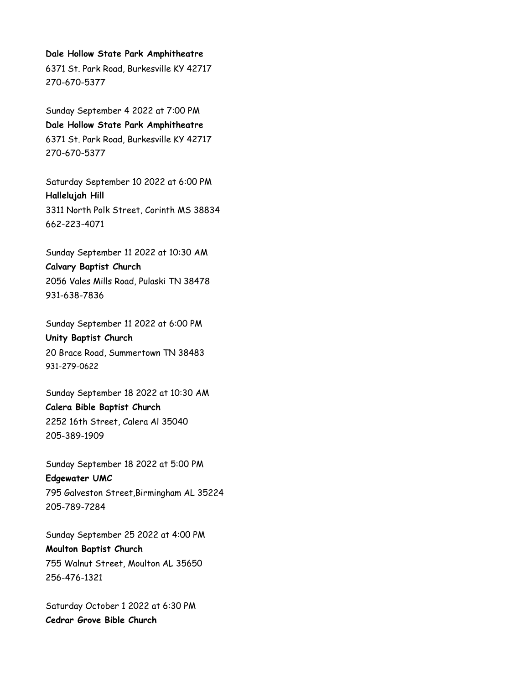## **Dale Hollow State Park Amphitheatre**

6371 St. Park Road, Burkesville KY 42717 270-670-5377

Sunday September 4 2022 at 7:00 PM **Dale Hollow State Park Amphitheatre** 6371 St. Park Road, Burkesville KY 42717 270-670-5377

Saturday September 10 2022 at 6:00 PM **Hallelujah Hill** 3311 North Polk Street, Corinth MS 38834 662-223-4071

Sunday September 11 2022 at 10:30 AM **Calvary Baptist Church** 2056 Vales Mills Road, Pulaski TN 38478 931-638-7836

Sunday September 11 2022 at 6:00 PM **Unity Baptist Church** 20 Brace Road, Summertown TN 38483 931-279-0622

Sunday September 18 2022 at 10:30 AM **Calera Bible Baptist Church** 2252 16th Street, Calera Al 35040 205-389-1909

Sunday September 18 2022 at 5:00 PM **Edgewater UMC** 795 Galveston Street,Birmingham AL 35224 205-789-7284

Sunday September 25 2022 at 4:00 PM **Moulton Baptist Church** 755 Walnut Street, Moulton AL 35650 256-476-1321

Saturday October 1 2022 at 6:30 PM **Cedrar Grove Bible Church**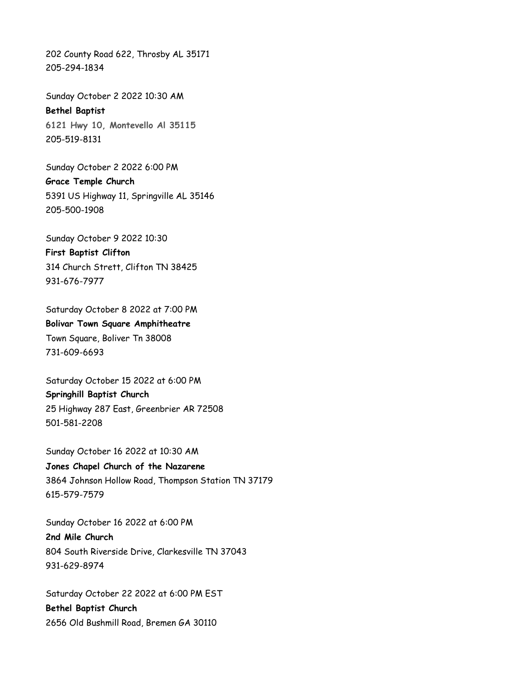202 County Road 622, Throsby AL 35171 205-294-1834

Sunday October 2 2022 10:30 AM **Bethel Baptist 6121 Hwy 10, Montevello Al 35115** 205-519-8131

Sunday October 2 2022 6:00 PM **Grace Temple Church** 5391 US Highway 11, Springville AL 35146 205-500-1908

Sunday October 9 2022 10:30 **First Baptist Clifton** 314 Church Strett, Clifton TN 38425 931-676-7977

Saturday October 8 2022 at 7:00 PM **Bolivar Town Square Amphitheatre** Town Square, Boliver Tn 38008 731-609-6693

Saturday October 15 2022 at 6:00 PM **Springhill Baptist Church** 25 Highway 287 East, Greenbrier AR 72508 501-581-2208

Sunday October 16 2022 at 10:30 AM **Jones Chapel Church of the Nazarene** 3864 Johnson Hollow Road, Thompson Station TN 37179 615-579-7579

Sunday October 16 2022 at 6:00 PM **2nd Mile Church** 804 South Riverside Drive, Clarkesville TN 37043 931-629-8974

Saturday October 22 2022 at 6:00 PM EST **Bethel Baptist Church**  2656 Old Bushmill Road, Bremen GA 30110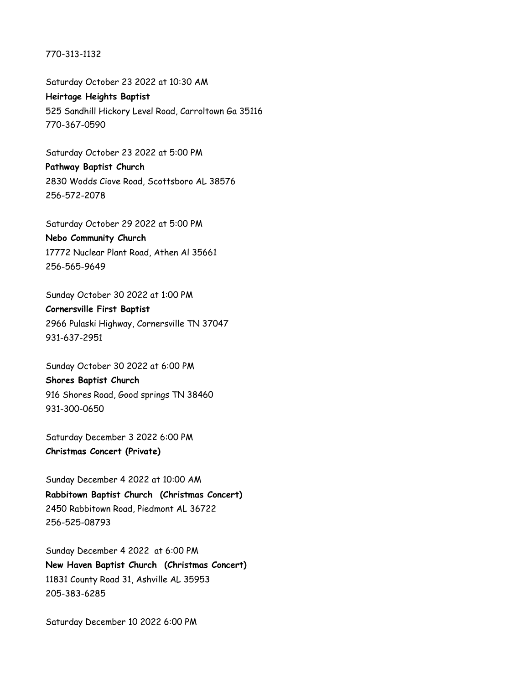770-313-1132

Saturday October 23 2022 at 10:30 AM **Heirtage Heights Baptist** 525 Sandhill Hickory Level Road, Carroltown Ga 35116 770-367-0590

Saturday October 23 2022 at 5:00 PM **Pathway Baptist Church** 2830 Wodds Ciove Road, Scottsboro AL 38576 256-572-2078

Saturday October 29 2022 at 5:00 PM **Nebo Community Church** 17772 Nuclear Plant Road, Athen Al 35661 256-565-9649

Sunday October 30 2022 at 1:00 PM **Cornersville First Baptist**  2966 Pulaski Highway, Cornersville TN 37047 931-637-2951

Sunday October 30 2022 at 6:00 PM **Shores Baptist Church** 916 Shores Road, Good springs TN 38460 931-300-0650

Saturday December 3 2022 6:00 PM **Christmas Concert (Private)**

Sunday December 4 2022 at 10:00 AM **Rabbitown Baptist Church (Christmas Concert)** 2450 Rabbitown Road, Piedmont AL 36722 256-525-08793

Sunday December 4 2022 at 6:00 PM **New Haven Baptist Church (Christmas Concert)** 11831 County Road 31, Ashville AL 35953 205-383-6285

Saturday December 10 2022 6:00 PM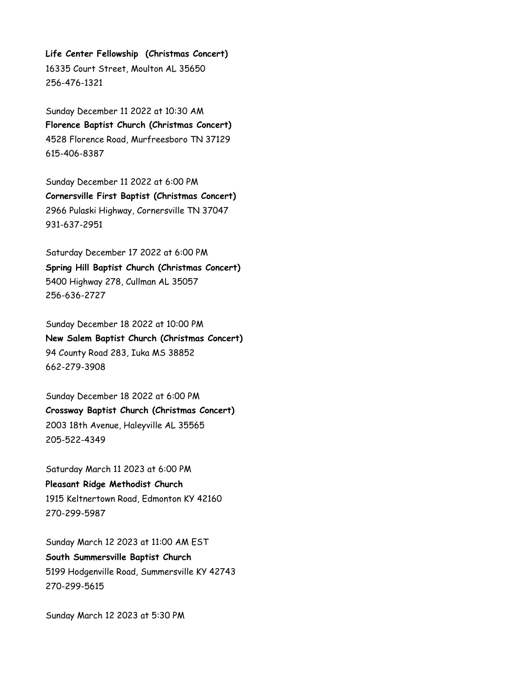**Life Center Fellowship (Christmas Concert)** 16335 Court Street, Moulton AL 35650 256-476-1321

Sunday December 11 2022 at 10:30 AM **Florence Baptist Church (Christmas Concert)** 4528 Florence Road, Murfreesboro TN 37129 615-406-8387

Sunday December 11 2022 at 6:00 PM **Cornersville First Baptist (Christmas Concert)** 2966 Pulaski Highway, Cornersville TN 37047 931-637-2951

Saturday December 17 2022 at 6:00 PM **Spring Hill Baptist Church (Christmas Concert)** 5400 Highway 278, Cullman AL 35057 256-636-2727

Sunday December 18 2022 at 10:00 PM **New Salem Baptist Church (Christmas Concert)** 94 County Road 283, Iuka MS 38852 662-279-3908

Sunday December 18 2022 at 6:00 PM **Crossway Baptist Church (Christmas Concert)** 2003 18th Avenue, Haleyville AL 35565 205-522-4349

Saturday March 11 2023 at 6:00 PM **Pleasant Ridge Methodist Church** 1915 Keltnertown Road, Edmonton KY 42160 270-299-5987

Sunday March 12 2023 at 11:00 AM EST **South Summersville Baptist Church** 5199 Hodgenville Road, Summersville KY 42743 270-299-5615

Sunday March 12 2023 at 5:30 PM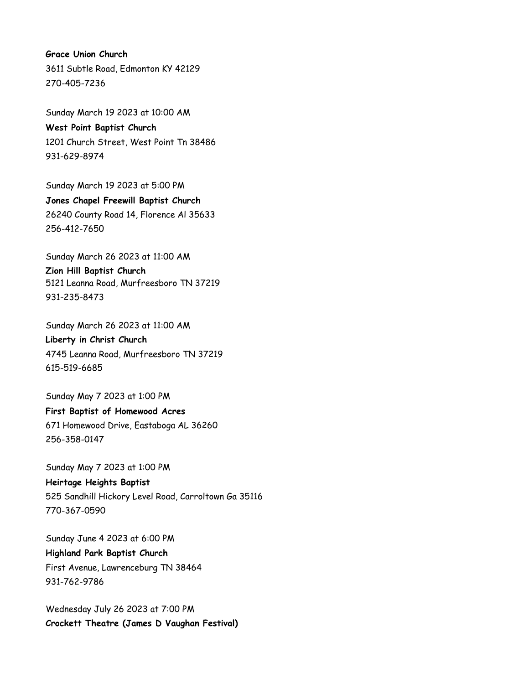**Grace Union Church** 3611 Subtle Road, Edmonton KY 42129 270-405-7236

Sunday March 19 2023 at 10:00 AM **West Point Baptist Church** 1201 Church Street, West Point Tn 38486 931-629-8974

Sunday March 19 2023 at 5:00 PM **Jones Chapel Freewill Baptist Church** 26240 County Road 14, Florence Al 35633 256-412-7650

Sunday March 26 2023 at 11:00 AM **Zion Hill Baptist Church** 5121 Leanna Road, Murfreesboro TN 37219 931-235-8473

Sunday March 26 2023 at 11:00 AM **Liberty in Christ Church** 4745 Leanna Road, Murfreesboro TN 37219 615-519-6685

Sunday May 7 2023 at 1:00 PM **First Baptist of Homewood Acres** 671 Homewood Drive, Eastaboga AL 36260 256-358-0147

Sunday May 7 2023 at 1:00 PM **Heirtage Heights Baptist** 525 Sandhill Hickory Level Road, Carroltown Ga 35116 770-367-0590

Sunday June 4 2023 at 6:00 PM **Highland Park Baptist Church** First Avenue, Lawrenceburg TN 38464 931-762-9786

Wednesday July 26 2023 at 7:00 PM **Crockett Theatre (James D Vaughan Festival)**